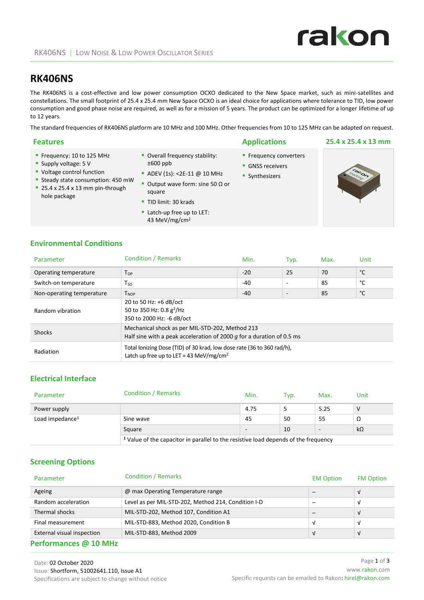# **RK406NS**

The RK406NS is a cost-effective and low power consumption OCXO dedicated to the New Space market, such as mini-satellites and constellations. The small footprint of 25.4 x 25.4 mm New Space OCXO is an ideal choice for applications where tolerance to TID, low power consumption and good phase noise are required, as well as for a mission of 5 years. The product can be optimized for a longer lifetime of up to 12 years.

The standard frequencies of RK406NS platform are 10 MHz and 100 MHz. Other frequencies from 10 to 125 MHz can be adapted on request.

| <b>Features</b>                                                                                                                                                         |                                                                                                                                                         | <b>Applications</b>                                               | 25.4 x 25.4 x 13 mm |
|-------------------------------------------------------------------------------------------------------------------------------------------------------------------------|---------------------------------------------------------------------------------------------------------------------------------------------------------|-------------------------------------------------------------------|---------------------|
| ■ Frequency: 10 to 125 MHz<br>Supply voltage: $5V$<br>• Voltage control function<br>Steady state consumption: 450 mW<br>25.4 x 25.4 x 13 mm pin-through<br>hole package | • Overall frequency stability:<br>$±600$ ppb<br>• ADEV (1s): < 2E-11 @ 10 MHz<br>Output wave form: sine 50 $\Omega$ or<br>square<br>TID limit: 30 krads | <b>Frequency converters</b><br>• GNSS receivers<br>• Synthesizers |                     |

Latch-up free up to LET: 43 MeV/mg/cm<sup>2</sup>

# **Environmental Conditions**

| Parameter                 | <b>Condition / Remarks</b>                                                                                                    | Min.  | Typ.                     | Max. | Unit |
|---------------------------|-------------------------------------------------------------------------------------------------------------------------------|-------|--------------------------|------|------|
| Operating temperature     | $T_{OP}$                                                                                                                      | $-20$ | 25                       | 70   | °C   |
| Switch-on temperature     | $T_{SO}$                                                                                                                      | $-40$ | $\overline{\phantom{a}}$ | 85   | °C   |
| Non-operating temperature | T <sub>NOP</sub>                                                                                                              | $-40$ |                          | 85   | °C   |
| Random vibration          | 20 to 50 Hz: +6 dB/oct<br>50 to 350 Hz: 0.8 g <sup>2</sup> /Hz<br>350 to 2000 Hz: -6 dB/oct                                   |       |                          |      |      |
| <b>Shocks</b>             | Mechanical shock as per MIL-STD-202, Method 213<br>Half sine with a peak acceleration of 2000 $q$ for a duration of 0.5 ms    |       |                          |      |      |
| Radiation                 | Total Ionizing Dose (TID) of 30 krad, low dose rate (36 to 360 rad/h),<br>Latch up free up to LET = 43 MeV/mg/cm <sup>2</sup> |       |                          |      |      |

# **Electrical Interface**

| Parameter          | <b>Condition / Remarks</b>                                                                     | Min.                     | Typ. | Max. | Unit      |
|--------------------|------------------------------------------------------------------------------------------------|--------------------------|------|------|-----------|
| Power supply       |                                                                                                | 4.75                     |      | 5.25 | v         |
| Load impedance $1$ | Sine wave                                                                                      | 45                       | 50   | 55   | Ω         |
|                    | Square                                                                                         | $\overline{\phantom{a}}$ | 10   |      | $k\Omega$ |
|                    | <sup>1</sup> Value of the capacitor in parallel to the resistive load depends of the frequency |                          |      |      |           |

### **Screening Options**

| Parameter                  | <b>Condition / Remarks</b>                          | <b>EM Option</b> | <b>FM Option</b> |
|----------------------------|-----------------------------------------------------|------------------|------------------|
| Ageing                     | @ max Operating Temperature range                   |                  |                  |
| Random acceleration        | Level as per MIL-STD-202, Method 214, Condition I-D |                  |                  |
| Thermal shocks             | MIL-STD-202, Method 107, Condition A1               |                  |                  |
| Final measurement          | MIL-STD-883, Method 2020, Condition B               |                  |                  |
| External visual inspection | MIL-STD-883, Method 2009                            |                  |                  |
|                            |                                                     |                  |                  |

#### **Performances @ 10 MHz**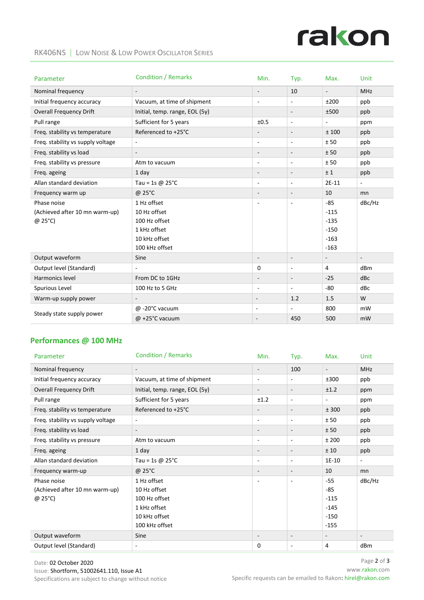# rakon

#### RK406NS | LOW NOISE & LOW POWER OSCILLATOR SERIES

| Parameter                         | <b>Condition / Remarks</b>     | Min.                     | Typ.                     | Max.                        | Unit                        |
|-----------------------------------|--------------------------------|--------------------------|--------------------------|-----------------------------|-----------------------------|
| Nominal frequency                 | $\overline{\phantom{a}}$       | $\overline{\phantom{a}}$ | 10                       | $\mathcal{L}_{\mathcal{A}}$ | <b>MHz</b>                  |
| Initial frequency accuracy        | Vacuum, at time of shipment    | $\overline{\phantom{a}}$ | ÷,                       | ±200                        | ppb                         |
| <b>Overall Frequency Drift</b>    | Initial, temp. range, EOL (5y) |                          | $\overline{\phantom{a}}$ | ±500                        | ppb                         |
| Pull range                        | Sufficient for 5 years         | ±0.5                     | $\overline{\phantom{a}}$ | $\overline{\phantom{a}}$    | ppm                         |
| Freq. stability vs temperature    | Referenced to +25°C            | $\overline{\phantom{a}}$ | $\overline{\phantom{a}}$ | ±100                        | ppb                         |
| Freq. stability vs supply voltage | $\overline{\phantom{a}}$       | $\overline{\phantom{a}}$ | $\overline{\phantom{a}}$ | ±50                         | ppb                         |
| Freq. stability vs load           | $\overline{\phantom{a}}$       | $\overline{\phantom{a}}$ | $\overline{\phantom{a}}$ | ± 50                        | ppb                         |
| Freq. stability vs pressure       | Atm to vacuum                  | $\overline{\phantom{a}}$ | $\blacksquare$           | ±50                         | ppb                         |
| Freq. ageing                      | 1 day                          | $\overline{\phantom{a}}$ | $\overline{\phantom{a}}$ | ±1                          | ppb                         |
| Allan standard deviation          | Tau = 1s $@$ 25°C              | ٠                        | $\overline{\phantom{a}}$ | 2E-11                       | $\overline{\phantom{a}}$    |
| Frequency warm up                 | @ 25°C                         | $\overline{\phantom{a}}$ | $\overline{\phantom{a}}$ | 10                          | mn                          |
| Phase noise                       | 1 Hz offset                    | $\overline{\phantom{a}}$ | $\overline{\phantom{a}}$ | $-85$                       | dBc/Hz                      |
| (Achieved after 10 mn warm-up)    | 10 Hz offset                   |                          |                          | $-115$                      |                             |
| @ 25°C)                           | 100 Hz offset                  |                          |                          | $-135$                      |                             |
|                                   | 1 kHz offset                   |                          |                          | $-150$                      |                             |
|                                   | 10 kHz offset                  |                          |                          | $-163$                      |                             |
|                                   | 100 kHz offset                 |                          |                          | $-163$                      |                             |
| Output waveform                   | Sine                           | $\overline{\phantom{a}}$ | $\bar{\phantom{a}}$      | $\overline{\phantom{a}}$    | $\mathcal{L}_{\mathcal{A}}$ |
| Output level (Standard)           | $\sim$                         | 0                        | $\overline{\phantom{a}}$ | 4                           | dBm                         |
| Harmonics level                   | From DC to 1GHz                | $\overline{\phantom{a}}$ | $\blacksquare$           | $-25$                       | dBc                         |
| Spurious Level                    | 100 Hz to 5 GHz                | ٠                        | $\overline{\phantom{a}}$ | $-80$                       | dBc                         |
| Warm-up supply power              | $\overline{\phantom{a}}$       | $\overline{\phantom{a}}$ | 1.2                      | 1.5                         | W                           |
|                                   | @ -20°C vacuum                 | $\overline{\phantom{a}}$ | $\overline{\phantom{a}}$ | 800                         | mW                          |
| Steady state supply power         | $@ + 25°C$ vacuum              | $\overline{\phantom{a}}$ | 450                      | 500                         | mW                          |

# **Performances @ 100 MHz**

| Parameter                                                        | <b>Condition / Remarks</b>                                                                      | Min.                     | Typ.                     | Max.                                                 | Unit           |
|------------------------------------------------------------------|-------------------------------------------------------------------------------------------------|--------------------------|--------------------------|------------------------------------------------------|----------------|
| Nominal frequency                                                | $\overline{\phantom{a}}$                                                                        | $\overline{\phantom{a}}$ | 100                      | $\overline{\phantom{a}}$                             | <b>MHz</b>     |
| Initial frequency accuracy                                       | Vacuum, at time of shipment                                                                     | $\overline{\phantom{a}}$ | ÷,                       | ±300                                                 | ppb            |
| <b>Overall Frequency Drift</b>                                   | Initial, temp. range, EOL (5y)                                                                  | $\overline{\phantom{a}}$ | $\overline{\phantom{a}}$ | ±1.2                                                 | ppm            |
| Pull range                                                       | Sufficient for 5 years                                                                          | ±1.2                     | $\sim$                   | $\overline{\phantom{a}}$                             | ppm            |
| Freq. stability vs temperature                                   | Referenced to +25°C                                                                             |                          | $\overline{\phantom{a}}$ | ± 300                                                | ppb            |
| Freq. stability vs supply voltage                                | $\overline{\phantom{a}}$                                                                        | $\overline{a}$           | ٠                        | ± 50                                                 | ppb            |
| Freq. stability vs load                                          | $\overline{\phantom{a}}$                                                                        |                          | $\overline{\phantom{a}}$ | ± 50                                                 | ppb            |
| Freq. stability vs pressure                                      | Atm to vacuum                                                                                   | $\overline{\phantom{a}}$ | ٠                        | ±200                                                 | ppb            |
| Freq. ageing                                                     | $1$ day                                                                                         | $\overline{\phantom{a}}$ | $\overline{\phantom{a}}$ | ± 10                                                 | ppb            |
| Allan standard deviation                                         | Tau = 1s @ $25^{\circ}$ C                                                                       | $\overline{\phantom{a}}$ | $\sim$                   | 1E-10                                                | $\blacksquare$ |
| Frequency warm-up                                                | @ 25°C                                                                                          |                          | $\overline{\phantom{a}}$ | 10                                                   | mn             |
| Phase noise<br>(Achieved after 10 mn warm-up)<br>$(25^{\circ}C)$ | 1 Hz offset<br>10 Hz offset<br>100 Hz offset<br>1 kHz offset<br>10 kHz offset<br>100 kHz offset |                          | $\overline{\phantom{m}}$ | $-55$<br>-85<br>$-115$<br>$-145$<br>$-150$<br>$-155$ | dBc/Hz         |
| Output waveform                                                  | Sine                                                                                            |                          | $\overline{\phantom{a}}$ |                                                      |                |
| Output level (Standard)                                          |                                                                                                 | 0                        | ٠                        | 4                                                    | dBm            |